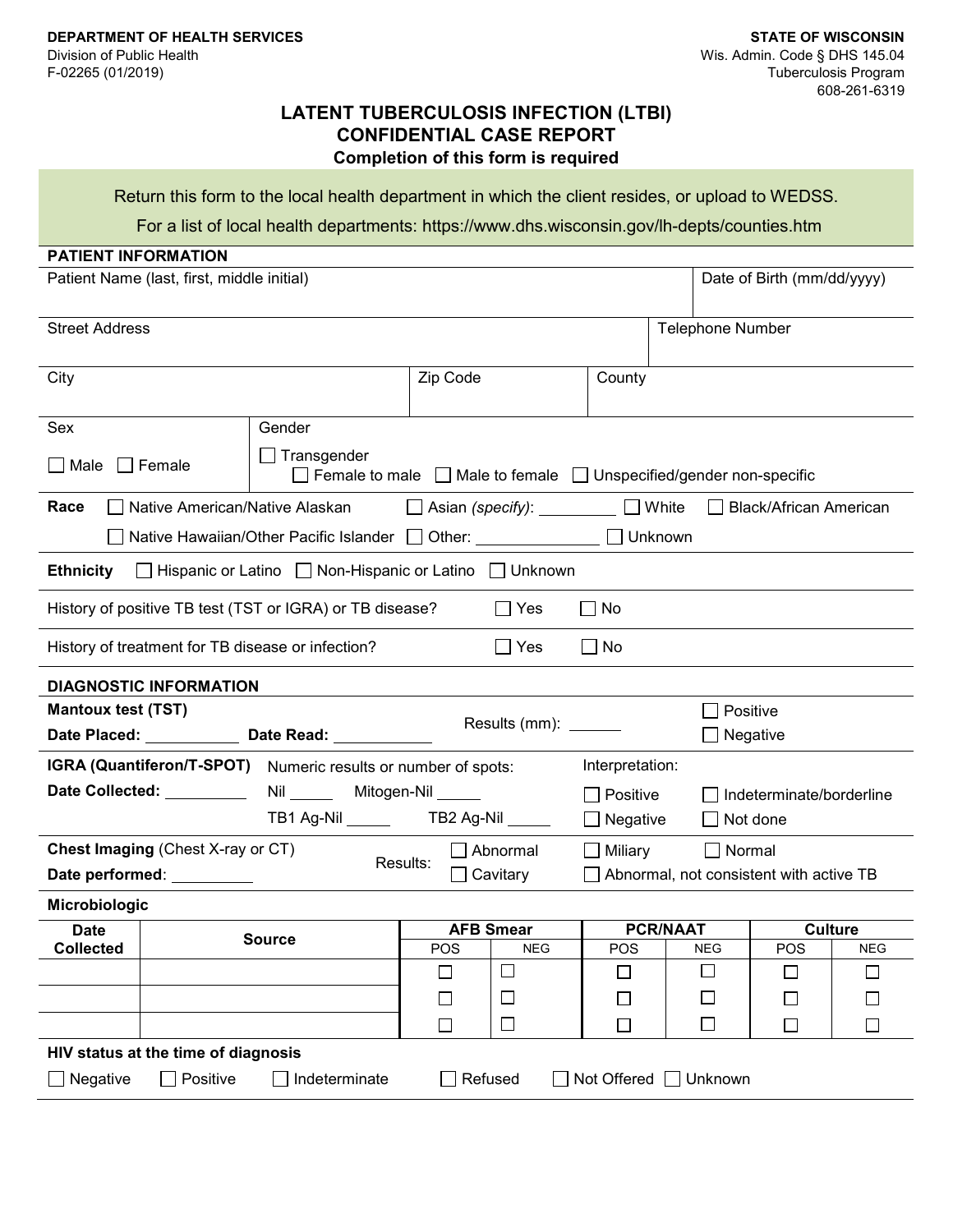## **LATENT TUBERCULOSIS INFECTION (LTBI) CONFIDENTIAL CASE REPORT Completion of this form is required**

Return this form to the local health department in which the client resides, or upload to WEDSS.

For a list of local health departments: <https://www.dhs.wisconsin.gov/lh-depts/counties.htm>

| <b>PATIENT INFORMATION</b>                                                      |                                                                                                          |                                                                      |                                         |                          |                               |            |  |  |  |
|---------------------------------------------------------------------------------|----------------------------------------------------------------------------------------------------------|----------------------------------------------------------------------|-----------------------------------------|--------------------------|-------------------------------|------------|--|--|--|
| Patient Name (last, first, middle initial)                                      |                                                                                                          |                                                                      |                                         |                          | Date of Birth (mm/dd/yyyy)    |            |  |  |  |
| <b>Street Address</b>                                                           |                                                                                                          |                                                                      |                                         | <b>Telephone Number</b>  |                               |            |  |  |  |
| City                                                                            |                                                                                                          | Zip Code                                                             | County                                  |                          |                               |            |  |  |  |
| Sex                                                                             | Gender                                                                                                   |                                                                      |                                         |                          |                               |            |  |  |  |
| $\Box$ Female<br>∐ Male                                                         | $\Box$ Transgender<br>$\Box$ Female to male $\Box$ Male to female $\Box$ Unspecified/gender non-specific |                                                                      |                                         |                          |                               |            |  |  |  |
| Race                                                                            | Native American/Native Alaskan                                                                           | $\Box$ Asian (specify): $\_\_\_\_\_\_\_\_\_\_\_\_\_\_\_\_\_\_\_\_\_$ | $\Box$ White                            |                          | <b>Black/African American</b> |            |  |  |  |
| Native Hawaiian/Other Pacific Islander □ Other: <u>______________</u> □ Unknown |                                                                                                          |                                                                      |                                         |                          |                               |            |  |  |  |
| □ Hispanic or Latino □ Non-Hispanic or Latino □ Unknown<br><b>Ethnicity</b>     |                                                                                                          |                                                                      |                                         |                          |                               |            |  |  |  |
| History of positive TB test (TST or IGRA) or TB disease?                        |                                                                                                          | l Yes                                                                | $\Box$ No                               |                          |                               |            |  |  |  |
| History of treatment for TB disease or infection?                               |                                                                                                          | ∣ Yes                                                                | $\Box$ No                               |                          |                               |            |  |  |  |
| <b>DIAGNOSTIC INFORMATION</b>                                                   |                                                                                                          |                                                                      |                                         |                          |                               |            |  |  |  |
| <b>Mantoux test (TST)</b>                                                       |                                                                                                          |                                                                      |                                         | Positive                 |                               |            |  |  |  |
| Date Placed: Date Read: Date Read:                                              |                                                                                                          | Results (mm): ____                                                   |                                         | Negative                 |                               |            |  |  |  |
| IGRA (Quantiferon/T-SPOT) Numeric results or number of spots:                   |                                                                                                          |                                                                      | Interpretation:                         |                          |                               |            |  |  |  |
| Date Collected: _________<br>Nil ______ Mitogen-Nil _____                       |                                                                                                          |                                                                      | Positive                                | Indeterminate/borderline |                               |            |  |  |  |
| TB1 Ag-Nil _______ TB2 Ag-Nil _____<br>Negative<br>Not done                     |                                                                                                          |                                                                      |                                         |                          |                               |            |  |  |  |
| <b>Chest Imaging (Chest X-ray or CT)</b><br>Abnormal<br>Miliary<br>Normal       |                                                                                                          |                                                                      |                                         |                          |                               |            |  |  |  |
| Date performed: _________                                                       |                                                                                                          | Results:<br>$\Box$ Cavitary                                          | Abnormal, not consistent with active TB |                          |                               |            |  |  |  |
| Microbiologic                                                                   |                                                                                                          |                                                                      |                                         |                          |                               |            |  |  |  |
| <b>Date</b>                                                                     | <b>Source</b>                                                                                            | <b>AFB Smear</b>                                                     | <b>PCR/NAAT</b>                         |                          | <b>Culture</b>                |            |  |  |  |
| <b>Collected</b>                                                                |                                                                                                          | POS<br><b>NEG</b>                                                    | POS                                     | <b>NEG</b>               | POS                           | <b>NEG</b> |  |  |  |
|                                                                                 |                                                                                                          | $\Box$                                                               |                                         | $\Box$                   | $\mathsf{L}$                  | Г          |  |  |  |
|                                                                                 |                                                                                                          | $\Box$<br>h.                                                         | $\Box$                                  | $\Box$                   | $\Box$                        |            |  |  |  |
|                                                                                 |                                                                                                          | $\Box$<br>П                                                          | $\Box$                                  | $\Box$                   | $\Box$                        | $\Box$     |  |  |  |
| HIV status at the time of diagnosis                                             |                                                                                                          |                                                                      |                                         |                          |                               |            |  |  |  |
| Positive<br>Negative                                                            | Indeterminate                                                                                            | Refused                                                              | Not Offered                             | Unknown                  |                               |            |  |  |  |